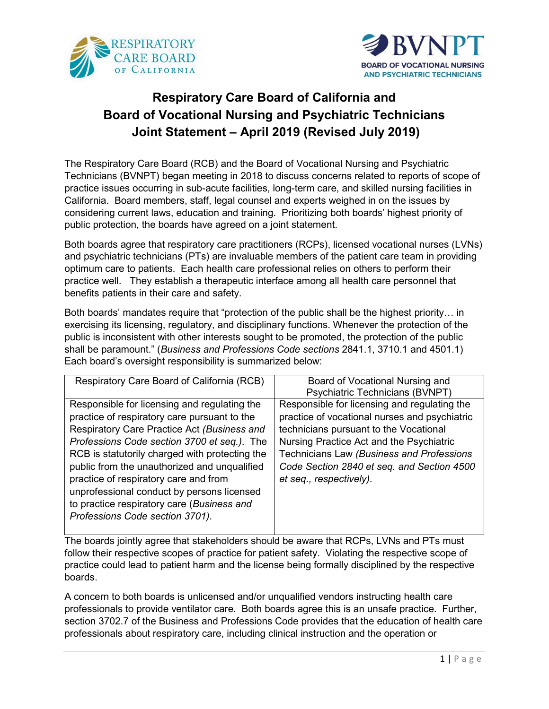



# **Respiratory Care Board of California and Board of Vocational Nursing and Psychiatric Technicians Joint Statement – April 2019 (Revised July 2019)**

The Respiratory Care Board (RCB) and the Board of Vocational Nursing and Psychiatric Technicians (BVNPT) began meeting in 2018 to discuss concerns related to reports of scope of practice issues occurring in sub-acute facilities, long-term care, and skilled nursing facilities in California. Board members, staff, legal counsel and experts weighed in on the issues by considering current laws, education and training. Prioritizing both boards' highest priority of public protection, the boards have agreed on a joint statement.

Both boards agree that respiratory care practitioners (RCPs), licensed vocational nurses (LVNs) and psychiatric technicians (PTs) are invaluable members of the patient care team in providing optimum care to patients. Each health care professional relies on others to perform their practice well. They establish a therapeutic interface among all health care personnel that benefits patients in their care and safety.

Both boards' mandates require that "protection of the public shall be the highest priority… in exercising its licensing, regulatory, and disciplinary functions. Whenever the protection of the public is inconsistent with other interests sought to be promoted, the protection of the public shall be paramount." (*Business and Professions Code sections* 2841.1, 3710.1 and 4501.1) Each board's oversight responsibility is summarized below:

| Respiratory Care Board of California (RCB)     | Board of Vocational Nursing and               |
|------------------------------------------------|-----------------------------------------------|
|                                                | Psychiatric Technicians (BVNPT)               |
| Responsible for licensing and regulating the   | Responsible for licensing and regulating the  |
| practice of respiratory care pursuant to the   | practice of vocational nurses and psychiatric |
| Respiratory Care Practice Act (Business and    | technicians pursuant to the Vocational        |
| Professions Code section 3700 et seq.). The    | Nursing Practice Act and the Psychiatric      |
| RCB is statutorily charged with protecting the | Technicians Law (Business and Professions     |
| public from the unauthorized and unqualified   | Code Section 2840 et seq. and Section 4500    |
| practice of respiratory care and from          | et seq., respectively).                       |
| unprofessional conduct by persons licensed     |                                               |
| to practice respiratory care (Business and     |                                               |
| Professions Code section 3701).                |                                               |
|                                                |                                               |

The boards jointly agree that stakeholders should be aware that RCPs, LVNs and PTs must follow their respective scopes of practice for patient safety. Violating the respective scope of practice could lead to patient harm and the license being formally disciplined by the respective boards.

A concern to both boards is unlicensed and/or unqualified vendors instructing health care professionals to provide ventilator care. Both boards agree this is an unsafe practice. Further, section 3702.7 of the Business and Professions Code provides that the education of health care professionals about respiratory care, including clinical instruction and the operation or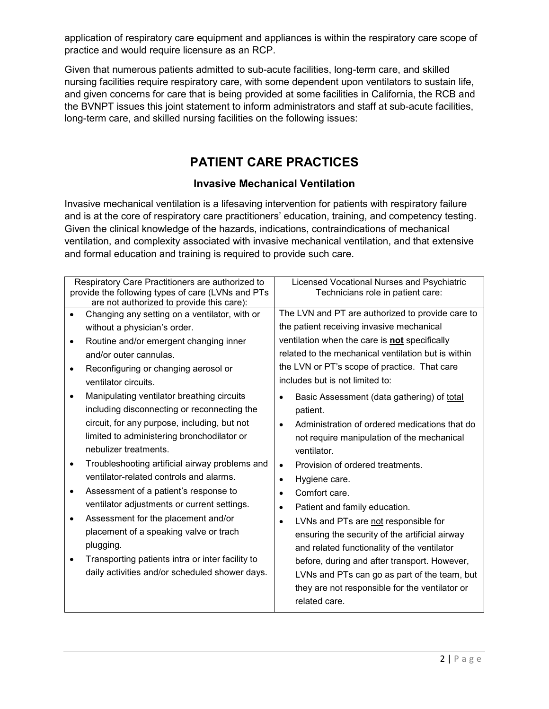application of respiratory care equipment and appliances is within the respiratory care scope of practice and would require licensure as an RCP.

Given that numerous patients admitted to sub-acute facilities, long-term care, and skilled nursing facilities require respiratory care, with some dependent upon ventilators to sustain life, and given concerns for care that is being provided at some facilities in California, the RCB and the BVNPT issues this joint statement to inform administrators and staff at sub-acute facilities, long-term care, and skilled nursing facilities on the following issues:

## **PATIENT CARE PRACTICES**

## **Invasive Mechanical Ventilation**

Invasive mechanical ventilation is a lifesaving intervention for patients with respiratory failure and is at the core of respiratory care practitioners' education, training, and competency testing. Given the clinical knowledge of the hazards, indications, contraindications of mechanical ventilation, and complexity associated with invasive mechanical ventilation, and that extensive and formal education and training is required to provide such care.

|           | Respiratory Care Practitioners are authorized to<br>provide the following types of care (LVNs and PTs<br>are not authorized to provide this care): |           | Licensed Vocational Nurses and Psychiatric<br>Technicians role in patient care: |
|-----------|----------------------------------------------------------------------------------------------------------------------------------------------------|-----------|---------------------------------------------------------------------------------|
|           | Changing any setting on a ventilator, with or                                                                                                      |           | The LVN and PT are authorized to provide care to                                |
|           | without a physician's order.                                                                                                                       |           | the patient receiving invasive mechanical                                       |
| $\bullet$ | Routine and/or emergent changing inner                                                                                                             |           | ventilation when the care is not specifically                                   |
|           | and/or outer cannulas.                                                                                                                             |           | related to the mechanical ventilation but is within                             |
|           | Reconfiguring or changing aerosol or                                                                                                               |           | the LVN or PT's scope of practice. That care                                    |
|           | ventilator circuits.                                                                                                                               |           | includes but is not limited to:                                                 |
|           | Manipulating ventilator breathing circuits                                                                                                         | $\bullet$ | Basic Assessment (data gathering) of total                                      |
|           | including disconnecting or reconnecting the                                                                                                        |           | patient.                                                                        |
|           | circuit, for any purpose, including, but not                                                                                                       | $\bullet$ | Administration of ordered medications that do                                   |
|           | limited to administering bronchodilator or                                                                                                         |           | not require manipulation of the mechanical                                      |
|           | nebulizer treatments.                                                                                                                              |           | ventilator.                                                                     |
| $\bullet$ | Troubleshooting artificial airway problems and                                                                                                     | $\bullet$ | Provision of ordered treatments.                                                |
|           | ventilator-related controls and alarms.                                                                                                            | $\bullet$ | Hygiene care.                                                                   |
| $\bullet$ | Assessment of a patient's response to                                                                                                              | $\bullet$ | Comfort care.                                                                   |
|           | ventilator adjustments or current settings.                                                                                                        | $\bullet$ | Patient and family education.                                                   |
|           | Assessment for the placement and/or                                                                                                                | $\bullet$ | LVNs and PTs are not responsible for                                            |
|           | placement of a speaking valve or trach                                                                                                             |           | ensuring the security of the artificial airway                                  |
|           | plugging.                                                                                                                                          |           | and related functionality of the ventilator                                     |
|           | Transporting patients intra or inter facility to                                                                                                   |           | before, during and after transport. However,                                    |
|           | daily activities and/or scheduled shower days.                                                                                                     |           | LVNs and PTs can go as part of the team, but                                    |
|           |                                                                                                                                                    |           | they are not responsible for the ventilator or                                  |
|           |                                                                                                                                                    |           | related care.                                                                   |